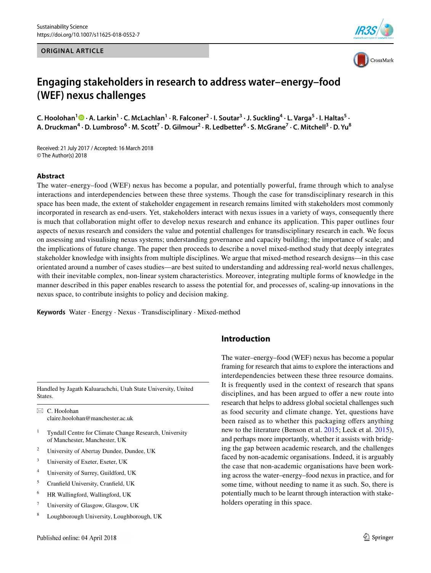### **ORIGINAL ARTICLE**





# **Engaging stakeholders in research to address water–energy–food (WEF) nexus challenges**

 $C.$  Hoolohan<sup>1</sup>  $\bullet$   $\cdot$  A. Larkin<sup>1</sup>  $\cdot$  C. McLachlan<sup>1</sup>  $\cdot$  R. Falconer<sup>2</sup>  $\cdot$  I. Soutar<sup>3</sup>  $\cdot$  J. Suckling<sup>4</sup>  $\cdot$  L. Varga<sup>5</sup>  $\cdot$  I. Haltas<sup>5</sup>  $\cdot$ **A. Druckman<sup>4</sup> · D. Lumbroso<sup>6</sup> · M. Scott<sup>7</sup> · D. Gilmour2 · R. Ledbetter6 · S. McGrane7 · C. Mitchell3 · D. Yu8**

Received: 21 July 2017 / Accepted: 16 March 2018 © The Author(s) 2018

#### **Abstract**

The water–energy–food (WEF) nexus has become a popular, and potentially powerful, frame through which to analyse interactions and interdependencies between these three systems. Though the case for transdisciplinary research in this space has been made, the extent of stakeholder engagement in research remains limited with stakeholders most commonly incorporated in research as end-users. Yet, stakeholders interact with nexus issues in a variety of ways, consequently there is much that collaboration might offer to develop nexus research and enhance its application. This paper outlines four aspects of nexus research and considers the value and potential challenges for transdisciplinary research in each. We focus on assessing and visualising nexus systems; understanding governance and capacity building; the importance of scale; and the implications of future change. The paper then proceeds to describe a novel mixed-method study that deeply integrates stakeholder knowledge with insights from multiple disciplines. We argue that mixed-method research designs—in this case orientated around a number of cases studies—are best suited to understanding and addressing real-world nexus challenges, with their inevitable complex, non-linear system characteristics. Moreover, integrating multiple forms of knowledge in the manner described in this paper enables research to assess the potential for, and processes of, scaling-up innovations in the nexus space, to contribute insights to policy and decision making.

**Keywords** Water · Energy · Nexus · Transdisciplinary · Mixed-method

Handled by Jagath Kaluarachchi, Utah State University, United **States**.

 $\boxtimes$  C. Hoolohan claire.hoolohan@manchester.ac.uk

- <sup>1</sup> Tyndall Centre for Climate Change Research, University of Manchester, Manchester, UK
- <sup>2</sup> University of Abertay Dundee, Dundee, UK
- <sup>3</sup> University of Exeter, Exeter, UK
- <sup>4</sup> University of Surrey, Guildford, UK
- <sup>5</sup> Cranfield University, Cranfield, UK
- <sup>6</sup> HR Wallingford, Wallingford, UK
- <sup>7</sup> University of Glasgow, Glasgow, UK
- <sup>8</sup> Loughborough University, Loughborough, UK

# **Introduction**

The water–energy–food (WEF) nexus has become a popular framing for research that aims to explore the interactions and interdependencies between these three resource domains. It is frequently used in the context of research that spans disciplines, and has been argued to offer a new route into research that helps to address global societal challenges such as food security and climate change. Yet, questions have been raised as to whether this packaging offers anything new to the literature (Benson et al. [2015](#page-9-0); Leck et al. [2015](#page-11-0)), and perhaps more importantly, whether it assists with bridging the gap between academic research, and the challenges faced by non-academic organisations. Indeed, it is arguably the case that non-academic organisations have been working across the water–energy–food nexus in practice, and for some time, without needing to name it as such. So, there is potentially much to be learnt through interaction with stakeholders operating in this space.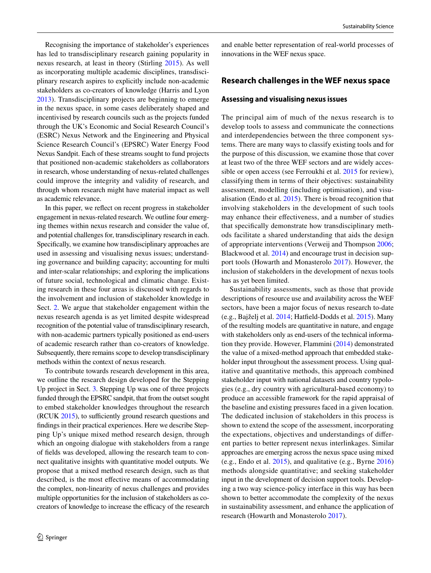Recognising the importance of stakeholder's experiences has led to transdisciplinary research gaining popularity in nexus research, at least in theory (Stirling [2015](#page-11-1)). As well as incorporating multiple academic disciplines, transdisciplinary research aspires to explicitly include non-academic stakeholders as co-creators of knowledge (Harris and Lyon [2013](#page-10-0)). Transdisciplinary projects are beginning to emerge in the nexus space, in some cases deliberately shaped and incentivised by research councils such as the projects funded through the UK's Economic and Social Research Council's (ESRC) Nexus Network and the Engineering and Physical Science Research Council's (EPSRC) Water Energy Food Nexus Sandpit. Each of these streams sought to fund projects that positioned non-academic stakeholders as collaborators in research, whose understanding of nexus-related challenges could improve the integrity and validity of research, and through whom research might have material impact as well as academic relevance.

In this paper, we reflect on recent progress in stakeholder engagement in nexus-related research. We outline four emerging themes within nexus research and consider the value of, and potential challenges for, transdisciplinary research in each. Specifically, we examine how transdisciplinary approaches are used in assessing and visualising nexus issues; understanding governance and building capacity; accounting for multi and inter-scalar relationships; and exploring the implications of future social, technological and climatic change. Existing research in these four areas is discussed with regards to the involvement and inclusion of stakeholder knowledge in Sect. [2](#page-1-0). We argue that stakeholder engagement within the nexus research agenda is as yet limited despite widespread recognition of the potential value of transdisciplinary research, with non-academic partners typically positioned as end-users of academic research rather than co-creators of knowledge. Subsequently, there remains scope to develop transdisciplinary methods within the context of nexus research.

To contribute towards research development in this area, we outline the research design developed for the Stepping Up project in Sect. [3.](#page-1-1) Stepping Up was one of three projects funded through the EPSRC sandpit, that from the outset sought to embed stakeholder knowledges throughout the research (RCUK [2015](#page-11-2)), to sufficiently ground research questions and findings in their practical experiences. Here we describe Stepping Up's unique mixed method research design, through which an ongoing dialogue with stakeholders from a range of fields was developed, allowing the research team to connect qualitative insights with quantitative model outputs. We propose that a mixed method research design, such as that described, is the most effective means of accommodating the complex, non-linearity of nexus challenges and provides multiple opportunities for the inclusion of stakeholders as cocreators of knowledge to increase the efficacy of the research and enable better representation of real-world processes of innovations in the WEF nexus space.

## <span id="page-1-0"></span>**Research challenges in the WEF nexus space**

#### <span id="page-1-1"></span>**Assessing and visualising nexus issues**

The principal aim of much of the nexus research is to develop tools to assess and communicate the connections and interdependencies between the three component systems. There are many ways to classify existing tools and for the purpose of this discussion, we examine those that cover at least two of the three WEF sectors and are widely accessible or open access (see Ferroukhi et al. [2015](#page-10-1) for review), classifying them in terms of their objectives: sustainability assessment, modelling (including optimisation), and visualisation (Endo et al. [2015\)](#page-10-2). There is broad recognition that involving stakeholders in the development of such tools may enhance their effectiveness, and a number of studies that specifically demonstrate how transdisciplinary methods facilitate a shared understanding that aids the design of appropriate interventions (Verweij and Thompson [2006](#page-11-3); Blackwood et al. [2014](#page-9-1)) and encourage trust in decision support tools (Howarth and Monasterolo [2017\)](#page-10-3). However, the inclusion of stakeholders in the development of nexus tools has as yet been limited.

Sustainability assessments, such as those that provide descriptions of resource use and availability across the WEF sectors, have been a major focus of nexus research to-date (e.g., Bajželj et al. [2014;](#page-9-2) Hatfield-Dodds et al. [2015\)](#page-10-4). Many of the resulting models are quantitative in nature, and engage with stakeholders only as end-users of the technical information they provide. However, Flammini [\(2014](#page-10-5)) demonstrated the value of a mixed-method approach that embedded stakeholder input throughout the assessment process. Using qualitative and quantitative methods, this approach combined stakeholder input with national datasets and country typologies (e.g., dry country with agricultural-based economy) to produce an accessible framework for the rapid appraisal of the baseline and existing pressures faced in a given location. The dedicated inclusion of stakeholders in this process is shown to extend the scope of the assessment, incorporating the expectations, objectives and understandings of different parties to better represent nexus interlinkages. Similar approaches are emerging across the nexus space using mixed (e.g., Endo et al. [2015](#page-10-2)), and qualitative (e.g., Byrne [2016\)](#page-10-6) methods alongside quantitative; and seeking stakeholder input in the development of decision support tools. Developing a two way science-policy interface in this way has been shown to better accommodate the complexity of the nexus in sustainability assessment, and enhance the application of research (Howarth and Monasterolo [2017\)](#page-10-3).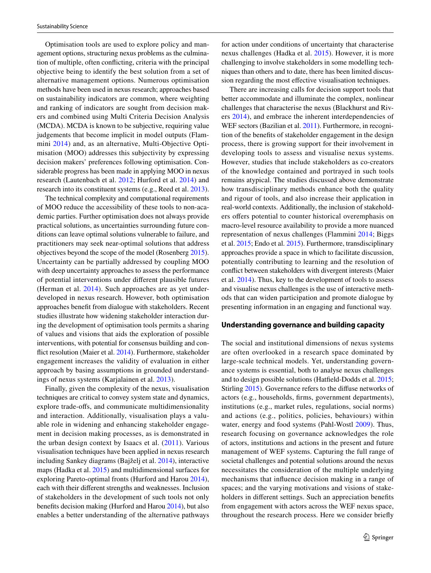Optimisation tools are used to explore policy and management options, structuring nexus problems as the culmination of multiple, often conflicting, criteria with the principal objective being to identify the best solution from a set of alternative management options. Numerous optimisation methods have been used in nexus research; approaches based on sustainability indicators are common, where weighting and ranking of indicators are sought from decision makers and combined using Multi Criteria Decision Analysis (MCDA). MCDA is known to be subjective, requiring value judgements that become implicit in model outputs (Flammini [2014](#page-10-5)) and, as an alternative, Multi-Objective Optimisation (MOO) addresses this subjectivity by expressing decision makers' preferences following optimisation. Considerable progress has been made in applying MOO in nexus research (Lautenbach et al. [2012](#page-10-7); Hurford et al. [2014](#page-10-8)) and research into its constituent systems (e.g., Reed et al. [2013](#page-11-4)).

The technical complexity and computational requirements of MOO reduce the accessibility of these tools to non-academic parties. Further optimisation does not always provide practical solutions, as uncertainties surrounding future conditions can leave optimal solutions vulnerable to failure, and practitioners may seek near-optimal solutions that address objectives beyond the scope of the model (Rosenberg [2015](#page-11-5)). Uncertainty can be partially addressed by coupling MOO with deep uncertainty approaches to assess the performance of potential interventions under different plausible futures (Herman et al. [2014](#page-10-9)). Such approaches are as yet underdeveloped in nexus research. However, both optimisation approaches benefit from dialogue with stakeholders. Recent studies illustrate how widening stakeholder interaction during the development of optimisation tools permits a sharing of values and visions that aids the exploration of possible interventions, with potential for consensus building and con-flict resolution (Maier et al. [2014\)](#page-11-6). Furthermore, stakeholder engagement increases the validity of evaluation in either approach by basing assumptions in grounded understandings of nexus systems (Karjalainen et al. [2013](#page-10-10)).

Finally, given the complexity of the nexus, visualisation techniques are critical to convey system state and dynamics, explore trade-offs, and communicate multidimensionality and interaction. Additionally, visualisation plays a valuable role in widening and enhancing stakeholder engagement in decision making processes, as is demonstrated in the urban design context by Isaacs et al. ([2011\)](#page-10-11). Various visualisation techniques have been applied in nexus research including Sankey diagrams (Bajželj et al. [2014\)](#page-9-2), interactive maps (Hadka et al. [2015\)](#page-10-12) and multidimensional surfaces for exploring Pareto-optimal fronts (Hurford and Harou [2014](#page-10-13)), each with their different strengths and weaknesses. Inclusion of stakeholders in the development of such tools not only benefits decision making (Hurford and Harou [2014\)](#page-10-13), but also enables a better understanding of the alternative pathways for action under conditions of uncertainty that characterise nexus challenges (Hadka et al. [2015\)](#page-10-12). However, it is more challenging to involve stakeholders in some modelling techniques than others and to date, there has been limited discussion regarding the most effective visualisation techniques.

There are increasing calls for decision support tools that better accommodate and illuminate the complex, nonlinear challenges that characterise the nexus (Blackhurst and Rivers [2014\)](#page-9-3), and embrace the inherent interdependencies of WEF sectors (Bazilian et al. [2011\)](#page-9-4). Furthermore, in recognition of the benefits of stakeholder engagement in the design process, there is growing support for their involvement in developing tools to assess and visualise nexus systems. However, studies that include stakeholders as co-creators of the knowledge contained and portrayed in such tools remains atypical. The studies discussed above demonstrate how transdisciplinary methods enhance both the quality and rigour of tools, and also increase their application in real-world contexts. Additionally, the inclusion of stakeholders offers potential to counter historical overemphasis on macro-level resource availability to provide a more nuanced representation of nexus challenges (Flammini [2014](#page-10-5); Biggs et al. [2015;](#page-9-5) Endo et al. [2015\)](#page-10-2). Furthermore, transdisciplinary approaches provide a space in which to facilitate discussion, potentially contributing to learning and the resolution of conflict between stakeholders with divergent interests (Maier et al. [2014](#page-11-6)). Thus, key to the development of tools to assess and visualise nexus challenges is the use of interactive methods that can widen participation and promote dialogue by presenting information in an engaging and functional way.

#### **Understanding governance and building capacity**

The social and institutional dimensions of nexus systems are often overlooked in a research space dominated by large-scale technical models. Yet, understanding governance systems is essential, both to analyse nexus challenges and to design possible solutions (Hatfield-Dodds et al. [2015](#page-10-4); Stirling [2015\)](#page-11-1). Governance refers to the diffuse networks of actors (e.g., households, firms, government departments), institutions (e.g., market rules, regulations, social norms) and actions (e.g., politics, policies, behaviours) within water, energy and food systems (Pahl-Wostl [2009\)](#page-11-7). Thus, research focusing on governance acknowledges the role of actors, institutions and actions in the present and future management of WEF systems. Capturing the full range of societal challenges and potential solutions around the nexus necessitates the consideration of the multiple underlying mechanisms that influence decision making in a range of spaces; and the varying motivations and visions of stakeholders in different settings. Such an appreciation benefits from engagement with actors across the WEF nexus space, throughout the research process. Here we consider briefly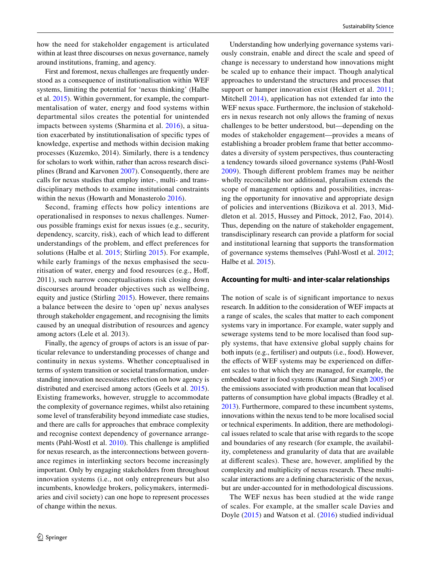how the need for stakeholder engagement is articulated within at least three discourses on nexus governance, namely around institutions, framing, and agency.

First and foremost, nexus challenges are frequently understood as a consequence of institutionalisation within WEF systems, limiting the potential for 'nexus thinking' (Halbe et al. [2015](#page-10-14)). Within government, for example, the compartmentalisation of water, energy and food systems within departmental silos creates the potential for unintended impacts between systems (Sharmina et al. [2016](#page-11-8)), a situation exacerbated by institutionalisation of specific types of knowledge, expertise and methods within decision making processes (Kuzemko, 2014). Similarly, there is a tendency for scholars to work within, rather than across research disciplines (Brand and Karvonen [2007\)](#page-10-15). Consequently, there are calls for nexus studies that employ inter-, multi- and transdisciplinary methods to examine institutional constraints within the nexus (Howarth and Monasterolo [2016\)](#page-10-16).

Second, framing effects how policy intentions are operationalised in responses to nexus challenges. Numerous possible framings exist for nexus issues (e.g., security, dependency, scarcity, risk), each of which lead to different understandings of the problem, and effect preferences for solutions (Halbe et al. [2015;](#page-10-14) Stirling [2015](#page-11-1)). For example, while early framings of the nexus emphasised the securitisation of water, energy and food resources (e.g., Hoff, 2011), such narrow conceptualisations risk closing down discourses around broader objectives such as wellbeing, equity and justice (Stirling [2015](#page-11-1)). However, there remains a balance between the desire to 'open up' nexus analyses through stakeholder engagement, and recognising the limits caused by an unequal distribution of resources and agency among actors (Lele et al. 2013).

Finally, the agency of groups of actors is an issue of particular relevance to understanding processes of change and continuity in nexus systems. Whether conceptualised in terms of system transition or societal transformation, understanding innovation necessitates reflection on how agency is distributed and exercised among actors (Geels et al. [2015](#page-10-17)). Existing frameworks, however, struggle to accommodate the complexity of governance regimes, whilst also retaining some level of transferability beyond immediate case studies, and there are calls for approaches that embrace complexity and recognise context dependency of governance arrangements (Pahl-Wostl et al. [2010\)](#page-11-9). This challenge is amplified for nexus research, as the interconnections between governance regimes in interlinking sectors become increasingly important. Only by engaging stakeholders from throughout innovation systems (i.e., not only entrepreneurs but also incumbents, knowledge brokers, policymakers, intermediaries and civil society) can one hope to represent processes of change within the nexus.

Understanding how underlying governance systems variously constrain, enable and direct the scale and speed of change is necessary to understand how innovations might be scaled up to enhance their impact. Though analytical approaches to understand the structures and processes that support or hamper innovation exist (Hekkert et al. [2011](#page-10-18); Mitchell [2014](#page-11-10)), application has not extended far into the WEF nexus space. Furthermore, the inclusion of stakeholders in nexus research not only allows the framing of nexus challenges to be better understood, but—depending on the modes of stakeholder engagement—provides a means of establishing a broader problem frame that better accommodates a diversity of system perspectives, thus counteracting a tendency towards siloed governance systems (Pahl-Wostl [2009\)](#page-11-7). Though different problem frames may be neither wholly reconcilable nor additional, pluralism extends the scope of management options and possibilities, increasing the opportunity for innovative and appropriate design of policies and interventions (Bizikova et al. 2013, Middleton et al. 2015, Hussey and Pittock, 2012, Fao, 2014). Thus, depending on the nature of stakeholder engagement, transdisciplinary research can provide a platform for social and institutional learning that supports the transformation of governance systems themselves (Pahl-Wostl et al. [2012](#page-11-11); Halbe et al. [2015\)](#page-10-14).

#### **Accounting for multi‑ and inter‑scalar relationships**

The notion of scale is of significant importance to nexus research. In addition to the consideration of WEF impacts at a range of scales, the scales that matter to each component systems vary in importance. For example, water supply and sewerage systems tend to be more localised than food supply systems, that have extensive global supply chains for both inputs (e.g., fertiliser) and outputs (i.e., food). However, the effects of WEF systems may be experienced on different scales to that which they are managed, for example, the embedded water in food systems (Kumar and Singh [2005](#page-10-19)) or the emissions associated with production mean that localised patterns of consumption have global impacts (Bradley et al. [2013](#page-10-20)). Furthermore, compared to these incumbent systems, innovations within the nexus tend to be more localised social or technical experiments. In addition, there are methodological issues related to scale that arise with regards to the scope and boundaries of any research (for example, the availability, completeness and granularity of data that are available at different scales). These are, however, amplified by the complexity and multiplicity of nexus research. These multiscalar interactions are a defining characteristic of the nexus, but are under-accounted for in methodological discussions.

The WEF nexus has been studied at the wide range of scales. For example, at the smaller scale Davies and Doyle [\(2015](#page-10-21)) and Watson et al. [\(2016](#page-11-12)) studied individual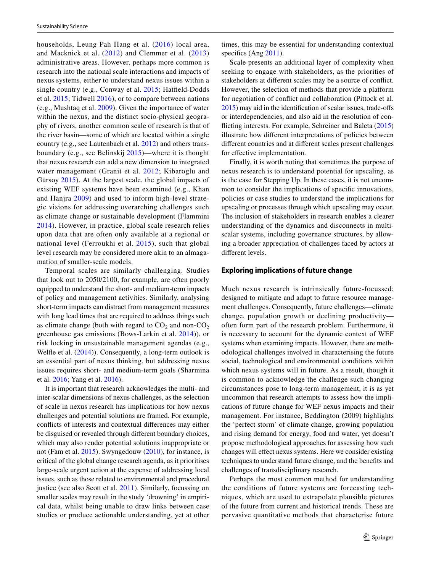households, Leung Pah Hang et al. ([2016\)](#page-11-13) local area, and Macknick et al. ([2012](#page-11-14)) and Clemmer et al. [\(2013\)](#page-10-22) administrative areas. However, perhaps more common is research into the national scale interactions and impacts of nexus systems, either to understand nexus issues within a single country (e.g., Conway et al. [2015](#page-10-23); Hatfield-Dodds et al. [2015](#page-10-4); Tidwell [2016\)](#page-11-15), or to compare between nations (e.g., Mushtaq et al. [2009\)](#page-11-16). Given the importance of water within the nexus, and the distinct socio-physical geography of rivers, another common scale of research is that of the river basin—some of which are located within a single country (e.g., see Lautenbach et al. [2012\)](#page-10-7) and others transboundary (e.g., see Belinskij [2015\)](#page-9-6)—where it is thought that nexus research can add a new dimension to integrated water management (Granit et al. [2012;](#page-10-24) Kibaroglu and Gürsoy [2015](#page-10-25)). At the largest scale, the global impacts of existing WEF systems have been examined (e.g., Khan and Hanjra [2009](#page-10-26)) and used to inform high-level strategic visions for addressing overarching challenges such as climate change or sustainable development (Flammini [2014\)](#page-10-5). However, in practice, global scale research relies upon data that are often only available at a regional or national level (Ferroukhi et al. [2015\)](#page-10-1), such that global level research may be considered more akin to an almagamation of smaller-scale models.

Temporal scales are similarly challenging. Studies that look out to 2050/2100, for example, are often poorly equipped to understand the short- and medium-term impacts of policy and management activities. Similarly, analysing short-term impacts can distract from management measures with long lead times that are required to address things such as climate change (both with regard to  $CO<sub>2</sub>$  and non- $CO<sub>2</sub>$ greenhouse gas emissions (Bows-Larkin et al. [2014\)](#page-10-27)), or risk locking in unsustainable management agendas (e.g., Welfle et al. [\(2014](#page-11-17))). Consequently, a long-term outlook is an essential part of nexus thinking, but addressing nexus issues requires short- and medium-term goals (Sharmina et al. [2016](#page-11-8); Yang et al. [2016](#page-11-18)).

It is important that research acknowledges the multi- and inter-scalar dimensions of nexus challenges, as the selection of scale in nexus research has implications for how nexus challenges and potential solutions are framed. For example, conflicts of interests and contextual differences may either be disguised or revealed through different boundary choices, which may also render potential solutions inappropriate or not (Fam et al. [2015](#page-10-28)). Swyngedouw ([2010\)](#page-11-19), for instance, is critical of the global change research agenda, as it prioritises large-scale urgent action at the expense of addressing local issues, such as those related to environmental and procedural justice (see also Scott et al. [2011\)](#page-11-20). Similarly, focussing on smaller scales may result in the study 'drowning' in empirical data, whilst being unable to draw links between case studies or produce actionable understanding, yet at other times, this may be essential for understanding contextual specifics (Ang [2011\)](#page-9-7).

Scale presents an additional layer of complexity when seeking to engage with stakeholders, as the priorities of stakeholders at different scales may be a source of conflict. However, the selection of methods that provide a platform for negotiation of conflict and collaboration (Pittock et al. [2015\)](#page-11-21) may aid in the identification of scalar issues, trade-offs or interdependencies, and also aid in the resolution of conflicting interests. For example, Schreiner and Baleta ([2015\)](#page-11-22) illustrate how different interpretations of policies between different countries and at different scales present challenges for effective implementation.

Finally, it is worth noting that sometimes the purpose of nexus research is to understand potential for upscaling, as is the case for Stepping Up. In these cases, it is not uncommon to consider the implications of specific innovations, policies or case studies to understand the implications for upscaling or processes through which upscaling may occur. The inclusion of stakeholders in research enables a clearer understanding of the dynamics and disconnects in multiscalar systems, including governance structures, by allowing a broader appreciation of challenges faced by actors at different levels.

#### **Exploring implications of future change**

Much nexus research is intrinsically future-focussed; designed to mitigate and adapt to future resource management challenges. Consequently, future challenges—climate change, population growth or declining productivity often form part of the research problem. Furthermore, it is necessary to account for the dynamic context of WEF systems when examining impacts. However, there are methodological challenges involved in characterising the future social, technological and environmental conditions within which nexus systems will in future. As a result, though it is common to acknowledge the challenge such changing circumstances pose to long-term management, it is as yet uncommon that research attempts to assess how the implications of future change for WEF nexus impacts and their management. For instance, Beddington (2009) highlights the 'perfect storm' of climate change, growing population and rising demand for energy, food and water, yet doesn't propose methodological approaches for assessing how such changes will effect nexus systems. Here we consider existing techniques to understand future change, and the benefits and challenges of transdisciplinary research.

Perhaps the most common method for understanding the conditions of future systems are forecasting techniques, which are used to extrapolate plausible pictures of the future from current and historical trends. These are pervasive quantitative methods that characterise future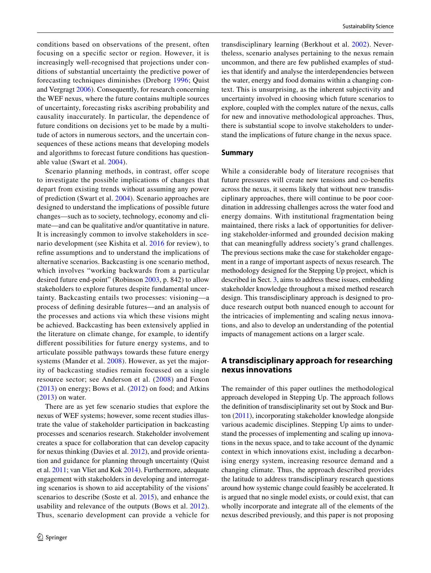conditions based on observations of the present, often focusing on a specific sector or region. However, it is increasingly well-recognised that projections under conditions of substantial uncertainty the predictive power of forecasting techniques diminishes (Dreborg [1996](#page-10-29); Quist and Vergragt [2006\)](#page-11-23). Consequently, for research concerning the WEF nexus, where the future contains multiple sources of uncertainty, forecasting risks ascribing probability and causality inaccurately. In particular, the dependence of future conditions on decisions yet to be made by a multitude of actors in numerous sectors, and the uncertain consequences of these actions means that developing models and algorithms to forecast future conditions has questionable value (Swart et al. [2004\)](#page-11-24).

Scenario planning methods, in contrast, offer scope to investigate the possible implications of changes that depart from existing trends without assuming any power of prediction (Swart et al. [2004](#page-11-24)). Scenario approaches are designed to understand the implications of possible future changes—such as to society, technology, economy and climate—and can be qualitative and/or quantitative in nature. It is increasingly common to involve stakeholders in scenario development (see Kishita et al. [2016](#page-10-30) for review), to refine assumptions and to understand the implications of alternative scenarios. Backcasting is one scenario method, which involves "working backwards from a particular desired future end-point" (Robinson [2003,](#page-11-25) p. 842) to allow stakeholders to explore futures despite fundamental uncertainty. Backcasting entails two processes: visioning—a process of defining desirable futures—and an analysis of the processes and actions via which these visions might be achieved. Backcasting has been extensively applied in the literature on climate change, for example, to identify different possibilities for future energy systems, and to articulate possible pathways towards these future energy systems (Mander et al. [2008\)](#page-11-26). However, as yet the majority of backcasting studies remain focussed on a single resource sector; see Anderson et al. ([2008\)](#page-9-8) and Foxon ([2013](#page-10-31)) on energy; Bows et al. ([2012\)](#page-9-9) on food; and Atkins ([2013](#page-9-10)) on water.

There are as yet few scenario studies that explore the nexus of WEF systems; however, some recent studies illustrate the value of stakeholder participation in backcasting processes and scenarios research. Stakeholder involvement creates a space for collaboration that can develop capacity for nexus thinking (Davies et al. [2012](#page-10-32)), and provide orientation and guidance for planning through uncertainty (Quist et al. [2011](#page-11-27); van Vliet and Kok [2014](#page-11-28)). Furthermore, adequate engagement with stakeholders in developing and interrogating scenarios is shown to aid acceptability of the visions' scenarios to describe (Soste et al. [2015](#page-11-29)), and enhance the usability and relevance of the outputs (Bows et al. [2012](#page-9-9)). Thus, scenario development can provide a vehicle for transdisciplinary learning (Berkhout et al. [2002](#page-9-11)). Nevertheless, scenario analyses pertaining to the nexus remain uncommon, and there are few published examples of studies that identify and analyse the interdependencies between the water, energy and food domains within a changing context. This is unsurprising, as the inherent subjectivity and uncertainty involved in choosing which future scenarios to explore, coupled with the complex nature of the nexus, calls for new and innovative methodological approaches. Thus, there is substantial scope to involve stakeholders to understand the implications of future change in the nexus space.

#### **Summary**

While a considerable body of literature recognises that future pressures will create new tensions and co-benefits across the nexus, it seems likely that without new transdisciplinary approaches, there will continue to be poor coordination in addressing challenges across the water food and energy domains. With institutional fragmentation being maintained, there risks a lack of opportunities for delivering stakeholder-informed and grounded decision making that can meaningfully address society's grand challenges. The previous sections make the case for stakeholder engagement in a range of important aspects of nexus research. The methodology designed for the Stepping Up project, which is described in Sect. [3,](#page-1-1) aims to address these issues, embedding stakeholder knowledge throughout a mixed method research design. This transdisciplinary approach is designed to produce research output both nuanced enough to account for the intricacies of implementing and scaling nexus innovations, and also to develop an understanding of the potential impacts of management actions on a larger scale.

## **A transdisciplinary approach for researching nexus innovations**

The remainder of this paper outlines the methodological approach developed in Stepping Up. The approach follows the definition of transdisciplinarity set out by Stock and Burton ([2011](#page-11-30)), incorporating stakeholder knowledge alongside various academic disciplines. Stepping Up aims to understand the processes of implementing and scaling up innovations in the nexus space, and to take account of the dynamic context in which innovations exist, including a decarbonising energy system, increasing resource demand and a changing climate. Thus, the approach described provides the latitude to address transdisciplinary research questions around how systemic change could feasibly be accelerated. It is argued that no single model exists, or could exist, that can wholly incorporate and integrate all of the elements of the nexus described previously, and this paper is not proposing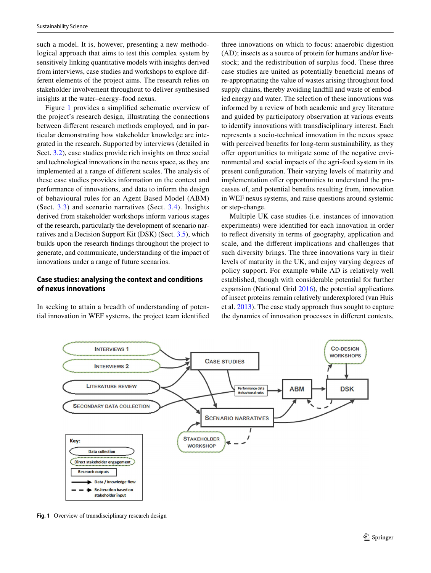such a model. It is, however, presenting a new methodological approach that aims to test this complex system by sensitively linking quantitative models with insights derived from interviews, case studies and workshops to explore different elements of the project aims. The research relies on stakeholder involvement throughout to deliver synthesised insights at the water–energy–food nexus.

Figure [1](#page-6-0) provides a simplified schematic overview of the project's research design, illustrating the connections between different research methods employed, and in particular demonstrating how stakeholder knowledge are integrated in the research. Supported by interviews (detailed in Sect. [3.2](#page-1-1)), case studies provide rich insights on three social and technological innovations in the nexus space, as they are implemented at a range of different scales. The analysis of these case studies provides information on the context and performance of innovations, and data to inform the design of behavioural rules for an Agent Based Model (ABM) (Sect. [3.3\)](#page-1-1) and scenario narratives (Sect. [3.4\)](#page-1-1). Insights derived from stakeholder workshops inform various stages of the research, particularly the development of scenario narratives and a Decision Support Kit (DSK) (Sect. [3.5\)](#page-1-1), which builds upon the research findings throughout the project to generate, and communicate, understanding of the impact of innovations under a range of future scenarios.

## **Case studies: analysing the context and conditions of nexus innovations**

In seeking to attain a breadth of understanding of potential innovation in WEF systems, the project team identified three innovations on which to focus: anaerobic digestion (AD); insects as a source of protein for humans and/or livestock; and the redistribution of surplus food. These three case studies are united as potentially beneficial means of re-appropriating the value of wastes arising throughout food supply chains, thereby avoiding landfill and waste of embodied energy and water. The selection of these innovations was informed by a review of both academic and grey literature and guided by participatory observation at various events to identify innovations with transdisciplinary interest. Each represents a socio-technical innovation in the nexus space with perceived benefits for long-term sustainability, as they offer opportunities to mitigate some of the negative environmental and social impacts of the agri-food system in its present configuration. Their varying levels of maturity and implementation offer opportunities to understand the processes of, and potential benefits resulting from, innovation in WEF nexus systems, and raise questions around systemic or step-change.

Multiple UK case studies (i.e. instances of innovation experiments) were identified for each innovation in order to reflect diversity in terms of geography, application and scale, and the different implications and challenges that such diversity brings. The three innovations vary in their levels of maturity in the UK, and enjoy varying degrees of policy support. For example while AD is relatively well established, though with considerable potential for further expansion (National Grid [2016\)](#page-11-31), the potential applications of insect proteins remain relatively underexplored (van Huis et al. [2013\)](#page-11-32). The case study approach thus sought to capture the dynamics of innovation processes in different contexts,



<span id="page-6-0"></span>**Fig. 1** Overview of transdisciplinary research design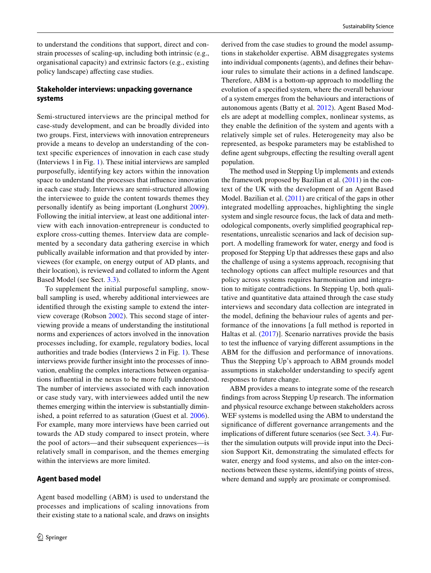to understand the conditions that support, direct and constrain processes of scaling-up, including both intrinsic (e.g., organisational capacity) and extrinsic factors (e.g., existing policy landscape) affecting case studies.

## **Stakeholder interviews: unpacking governance systems**

Semi-structured interviews are the principal method for case-study development, and can be broadly divided into two groups. First, interviews with innovation entrepreneurs provide a means to develop an understanding of the context specific experiences of innovation in each case study (Interviews 1 in Fig. [1\)](#page-6-0). These initial interviews are sampled purposefully, identifying key actors within the innovation space to understand the processes that influence innovation in each case study. Interviews are semi-structured allowing the interviewee to guide the content towards themes they personally identify as being important (Longhurst [2009](#page-11-33)). Following the initial interview, at least one additional interview with each innovation-entrepreneur is conducted to explore cross-cutting themes. Interview data are complemented by a secondary data gathering exercise in which publically available information and that provided by interviewees (for example, on energy output of AD plants, and their location), is reviewed and collated to inform the Agent Based Model (see Sect. [3.3\)](#page-1-1).

To supplement the initial purposeful sampling, snowball sampling is used, whereby additional interviewees are identified through the existing sample to extend the interview coverage (Robson [2002\)](#page-11-34). This second stage of interviewing provide a means of understanding the institutional norms and experiences of actors involved in the innovation processes including, for example, regulatory bodies, local authorities and trade bodies (Interviews 2 in Fig. [1](#page-6-0)). These interviews provide further insight into the processes of innovation, enabling the complex interactions between organisations influential in the nexus to be more fully understood. The number of interviews associated with each innovation or case study vary, with interviewees added until the new themes emerging within the interview is substantially diminished, a point referred to as saturation (Guest et al. [2006](#page-10-33)). For example, many more interviews have been carried out towards the AD study compared to insect protein, where the pool of actors—and their subsequent experiences—is relatively small in comparison, and the themes emerging within the interviews are more limited.

#### **Agent based model**

Agent based modelling (ABM) is used to understand the processes and implications of scaling innovations from their existing state to a national scale, and draws on insights derived from the case studies to ground the model assumptions in stakeholder expertise. ABM disaggregates systems into individual components (agents), and defines their behaviour rules to simulate their actions in a defined landscape. Therefore, ABM is a bottom-up approach to modelling the evolution of a specified system, where the overall behaviour of a system emerges from the behaviours and interactions of autonomous agents (Batty et al. [2012](#page-9-12)). Agent Based Models are adept at modelling complex, nonlinear systems, as they enable the definition of the system and agents with a relatively simple set of rules. Heterogeneity may also be represented, as bespoke parameters may be established to define agent subgroups, effecting the resulting overall agent population.

The method used in Stepping Up implements and extends the framework proposed by Bazilian et al. ([2011\)](#page-9-4) in the context of the UK with the development of an Agent Based Model. Bazilian et al. [\(2011\)](#page-9-4) are critical of the gaps in other integrated modelling approaches, highlighting the single system and single resource focus, the lack of data and methodological components, overly simplified geographical representations, unrealistic scenarios and lack of decision support. A modelling framework for water, energy and food is proposed for Stepping Up that addresses these gaps and also the challenge of using a systems approach, recognising that technology options can affect multiple resources and that policy across systems requires harmonisation and integration to mitigate contradictions. In Stepping Up, both qualitative and quantitative data attained through the case study interviews and secondary data collection are integrated in the model, defining the behaviour rules of agents and performance of the innovations [a full method is reported in Haltas et al. [\(2017](#page-10-34))]. Scenario narratives provide the basis to test the influence of varying different assumptions in the ABM for the diffusion and performance of innovations. Thus the Stepping Up's approach to ABM grounds model assumptions in stakeholder understanding to specify agent responses to future change.

ABM provides a means to integrate some of the research findings from across Stepping Up research. The information and physical resource exchange between stakeholders across WEF systems is modelled using the ABM to understand the significance of different governance arrangements and the implications of different future scenarios (see Sect. [3.4\)](#page-1-1). Further the simulation outputs will provide input into the Decision Support Kit, demonstrating the simulated effects for water, energy and food systems, and also on the inter-connections between these systems, identifying points of stress, where demand and supply are proximate or compromised.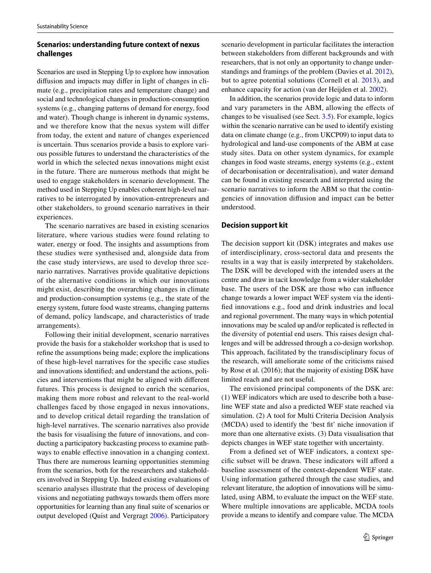## **Scenarios: understanding future context of nexus challenges**

Scenarios are used in Stepping Up to explore how innovation diffusion and impacts may differ in light of changes in climate (e.g., precipitation rates and temperature change) and social and technological changes in production-consumption systems (e.g., changing patterns of demand for energy, food and water). Though change is inherent in dynamic systems, and we therefore know that the nexus system will differ from today, the extent and nature of changes experienced is uncertain. Thus scenarios provide a basis to explore various possible futures to understand the characteristics of the world in which the selected nexus innovations might exist in the future. There are numerous methods that might be used to engage stakeholders in scenario development. The method used in Stepping Up enables coherent high-level narratives to be interrogated by innovation-entrepreneurs and other stakeholders, to ground scenario narratives in their experiences.

The scenario narratives are based in existing scenarios literature, where various studies were found relating to water, energy or food. The insights and assumptions from these studies were synthesised and, alongside data from the case study interviews, are used to develop three scenario narratives. Narratives provide qualitative depictions of the alternative conditions in which our innovations might exist, describing the overarching changes in climate and production-consumption systems (e.g., the state of the energy system, future food waste streams, changing patterns of demand, policy landscape, and characteristics of trade arrangements).

Following their initial development, scenario narratives provide the basis for a stakeholder workshop that is used to refine the assumptions being made; explore the implications of these high-level narratives for the specific case studies and innovations identified; and understand the actions, policies and interventions that might be aligned with different futures. This process is designed to enrich the scenarios, making them more robust and relevant to the real-world challenges faced by those engaged in nexus innovations, and to develop critical detail regarding the translation of high-level narratives. The scenario narratives also provide the basis for visualising the future of innovations, and conducting a participatory backcasting process to examine pathways to enable effective innovation in a changing context. Thus there are numerous learning opportunities stemming from the scenarios, both for the researchers and stakeholders involved in Stepping Up. Indeed existing evaluations of scenario analyses illustrate that the process of developing visions and negotiating pathways towards them offers more opportunities for learning than any final suite of scenarios or output developed (Quist and Vergragt [2006\)](#page-11-23). Participatory scenario development in particular facilitates the interaction between stakeholders from different backgrounds and with researchers, that is not only an opportunity to change understandings and framings of the problem (Davies et al. [2012](#page-10-32)), but to agree potential solutions (Cornell et al. [2013](#page-10-35)), and enhance capacity for action (van der Heijden et al. [2002\)](#page-11-35).

In addition, the scenarios provide logic and data to inform and vary parameters in the ABM, allowing the effects of changes to be visualised (see Sect. [3.5\)](#page-1-1). For example, logics within the scenario narrative can be used to identify existing data on climate change (e.g., from UKCP09) to input data to hydrological and land-use components of the ABM at case study sites. Data on other system dynamics, for example changes in food waste streams, energy systems (e.g., extent of decarbonisation or decentralisation), and water demand can be found in existing research and interpreted using the scenario narratives to inform the ABM so that the contingencies of innovation diffusion and impact can be better understood.

## **Decision support kit**

The decision support kit (DSK) integrates and makes use of interdisciplinary, cross-sectoral data and presents the results in a way that is easily interpreted by stakeholders. The DSK will be developed with the intended users at the centre and draw in tacit knowledge from a wider stakeholder base. The users of the DSK are those who can influence change towards a lower impact WEF system via the identified innovations e.g., food and drink industries and local and regional government. The many ways in which potential innovations may be scaled up and/or replicated is reflected in the diversity of potential end users. This raises design challenges and will be addressed through a co-design workshop. This approach, facilitated by the transdisciplinary focus of the research, will ameliorate some of the criticisms raised by Rose et al. (2016); that the majority of existing DSK have limited reach and are not useful.

The envisioned principal components of the DSK are: (1) WEF indicators which are used to describe both a baseline WEF state and also a predicted WEF state reached via simulation. (2) A tool for Multi Criteria Decision Analysis (MCDA) used to identify the 'best fit' niche innovation if more than one alternative exists. (3) Data visualisation that depicts changes in WEF state together with uncertainty.

From a defined set of WEF indicators, a context specific subset will be drawn. These indicators will afford a baseline assessment of the context-dependent WEF state. Using information gathered through the case studies, and relevant literature, the adoption of innovations will be simulated, using ABM, to evaluate the impact on the WEF state. Where multiple innovations are applicable, MCDA tools provide a means to identify and compare value. The MCDA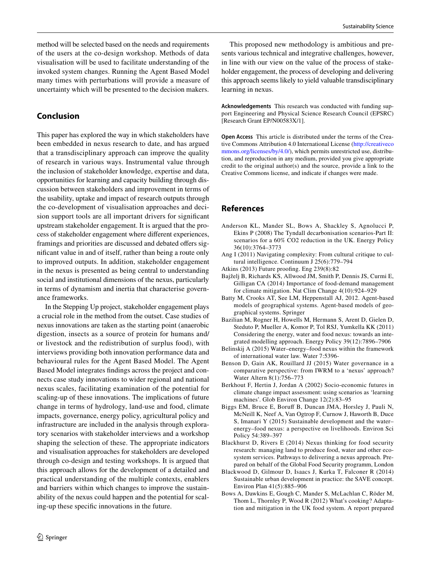method will be selected based on the needs and requirements of the users at the co-design workshop. Methods of data visualisation will be used to facilitate understanding of the invoked system changes. Running the Agent Based Model many times with perturbations will provide a measure of uncertainty which will be presented to the decision makers.

# **Conclusion**

This paper has explored the way in which stakeholders have been embedded in nexus research to date, and has argued that a transdisciplinary approach can improve the quality of research in various ways. Instrumental value through the inclusion of stakeholder knowledge, expertise and data, opportunities for learning and capacity building through discussion between stakeholders and improvement in terms of the usability, uptake and impact of research outputs through the co-development of visualisation approaches and decision support tools are all important drivers for significant upstream stakeholder engagement. It is argued that the process of stakeholder engagement where different experiences, framings and priorities are discussed and debated offers significant value in and of itself, rather than being a route only to improved outputs. In addition, stakeholder engagement in the nexus is presented as being central to understanding social and institutional dimensions of the nexus, particularly in terms of dynamism and inertia that characterise governance frameworks.

In the Stepping Up project, stakeholder engagement plays a crucial role in the method from the outset. Case studies of nexus innovations are taken as the starting point (anaerobic digestion, insects as a source of protein for humans and/ or livestock and the redistribution of surplus food), with interviews providing both innovation performance data and behavioural rules for the Agent Based Model. The Agent Based Model integrates findings across the project and connects case study innovations to wider regional and national nexus scales, facilitating examination of the potential for scaling-up of these innovations. The implications of future change in terms of hydrology, land-use and food, climate impacts, governance, energy policy, agricultural policy and infrastructure are included in the analysis through exploratory scenarios with stakeholder interviews and a workshop shaping the selection of these. The appropriate indicators and visualisation approaches for stakeholders are developed through co-design and testing workshops. It is argued that this approach allows for the development of a detailed and practical understanding of the multiple contexts, enablers and barriers within which changes to improve the sustainability of the nexus could happen and the potential for scaling-up these specific innovations in the future.

This proposed new methodology is ambitious and presents various technical and integrative challenges, however, in line with our view on the value of the process of stakeholder engagement, the process of developing and delivering this approach seems likely to yield valuable transdisciplinary learning in nexus.

**Acknowledgements** This research was conducted with funding support Engineering and Physical Science Research Council (EPSRC) [Research Grant EP/N00583X/1].

**Open Access** This article is distributed under the terms of the Creative Commons Attribution 4.0 International License ([http://creativeco](http://creativecommons.org/licenses/by/4.0/) [mmons.org/licenses/by/4.0/](http://creativecommons.org/licenses/by/4.0/)), which permits unrestricted use, distribution, and reproduction in any medium, provided you give appropriate credit to the original author(s) and the source, provide a link to the Creative Commons license, and indicate if changes were made.

# **References**

- <span id="page-9-8"></span>Anderson KL, Mander SL, Bows A, Shackley S, Agnolucci P, Ekins P (2008) The Tyndall decarbonisation scenarios-Part II: scenarios for a 60% CO2 reduction in the UK. Energy Policy 36(10):3764–3773
- <span id="page-9-7"></span>Ang I (2011) Navigating complexity: From cultural critique to cultural intelligence. Continuum J 25(6):779–794
- <span id="page-9-10"></span>Atkins (2013) Future proofing. Eng 239(8):82
- <span id="page-9-2"></span>Bajželj B, Richards KS, Allwood JM, Smith P, Dennis JS, Curmi E, Gilligan CA (2014) Importance of food-demand management for climate mitigation. Nat Clim Change 4(10):924–929
- <span id="page-9-12"></span>Batty M, Crooks AT, See LM, Heppenstall AJ, 2012. Agent-based models of geographical systems. Agent-based models of geographical systems. Springer
- <span id="page-9-4"></span>Bazilian M, Rogner H, Howells M, Hermann S, Arent D, Gielen D, Steduto P, Mueller A, Komor P, Tol RSJ, Yumkella KK (2011) Considering the energy, water and food nexus: towards an integrated modelling approach. Energy Policy 39(12):7896–7906
- <span id="page-9-6"></span>Belinskij A (2015) Water–energy–food nexus within the framework of international water law. Water 7:5396-
- <span id="page-9-0"></span>Benson D, Gain AK, Rouillard JJ (2015) Water governance in a comparative perspective: from IWRM to a 'nexus' approach? Water Altern 8(1):756–773
- <span id="page-9-11"></span>Berkhout F, Hertin J, Jordan A (2002) Socio-economic futures in climate change impact assessment: using scenarios as 'learning machines'. Glob Environ Change 12(2):83–95
- <span id="page-9-5"></span>Biggs EM, Bruce E, Boruff B, Duncan JMA, Horsley J, Pauli N, McNeill K, Neef A, Van Ogtrop F, Curnow J, Haworth B, Duce S, Imanari Y (2015) Sustainable development and the water– energy–food nexus: a perspective on livelihoods. Environ Sci Policy 54:389–397
- <span id="page-9-3"></span>Blackhurst D, Rivers E (2014) Nexus thinking for food security research: managing land to produce food, water and other ecosystem services. Pathways to delivering a nexus approach. Prepared on behalf of the Global Food Security programm, London
- <span id="page-9-1"></span>Blackwood D, Gilmour D, Isaacs J, Kurka T, Falconer R (2014) Sustainable urban development in practice: the SAVE concept. Environ Plan 41(5):885–906
- <span id="page-9-9"></span>Bows A, Dawkins E, Gough C, Mander S, McLachlan C, Röder M, Thom L, Thornley P, Wood R (2012) What's cooking? Adaptation and mitigation in the UK food system. A report prepared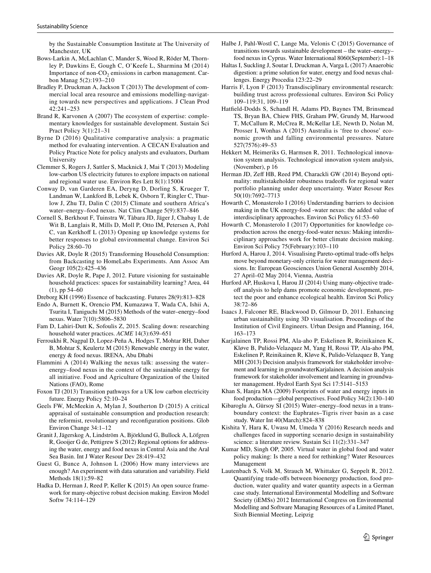by the Sustainable Consumption Institute at The University of Manchester, UK

- <span id="page-10-27"></span>Bows-Larkin A, McLachlan C, Mander S, Wood R, Röder M, Thornley P, Dawkins E, Gough C, O'Keefe L, Sharmina M (2014) Importance of non- $CO<sub>2</sub>$  emissions in carbon management. Carbon Manag 5(2):193–210
- <span id="page-10-20"></span>Bradley P, Druckman A, Jackson T (2013) The development of commercial local area resource and emissions modelling-navigating towards new perspectives and applications. J Clean Prod 42:241–253
- <span id="page-10-15"></span>Brand R, Karvonen A (2007) The ecosystem of expertise: complementary knowledges for sustainable development. Sustain Sci Pract Policy 3(1):21–31
- <span id="page-10-6"></span>Byrne D (2016) Qualitative comparative analysis: a pragmatic method for evaluating intervention. A CECAN Evaluation and Policy Practice Note for policy analysts and evaluators, Durham University
- <span id="page-10-22"></span>Clemmer S, Rogers J, Sattler S, Macknick J, Mai T (2013) Modeling low-carbon US electricity futures to explore impacts on national and regional water use. Environ Res Lett 8(1):15004
- <span id="page-10-23"></span>Conway D, van Garderen EA, Deryng D, Dorling S, Krueger T, Landman W, Lankford B, Lebek K, Osborn T, Ringler C, Thurlow J, Zhu TJ, Dalin C (2015) Climate and southern Africa's water–energy–food nexus. Nat Clim Change 5(9):837–846
- <span id="page-10-35"></span>Cornell S, Berkhout F, Tuinstra W, Tàbara JD, Jäger J, Chabay I, de Wit B, Langlais R, Mills D, Moll P, Otto IM, Petersen A, Pohl C, van Kerkhoff L (2013) Opening up knowledge systems for better responses to global environmental change. Environ Sci Policy 28:60–70
- <span id="page-10-21"></span>Davies AR, Doyle R (2015) Transforming Household Consumption: from Backcasting to HomeLabs Experiments. Ann Assoc Am Geogr 105(2):425–436
- <span id="page-10-32"></span>Davies AR, Doyle R, Pape J, 2012. Future visioning for sustainable household practices: spaces for sustainability learning? Area, 44 (1), pp 54–60
- <span id="page-10-29"></span>Dreborg KH (1996) Essence of backcasting. Futures 28(9):813–828
- <span id="page-10-2"></span>Endo A, Burnett K, Orencio PM, Kumazawa T, Wada CA, Ishii A, Tsurita I, Taniguchi M (2015) Methods of the water–energy–food nexus. Water 7(10):5806–5830
- <span id="page-10-28"></span>Fam D, Lahiri-Dutt K, Sofoulis Z, 2015. Scaling down: researching household water practices. *ACME* 14(3):639–651
- <span id="page-10-1"></span>Ferroukhi R, Nagpal D, Lopez-Peña A, Hodges T, Mohtar RH, Daher B, Mohtar S, Keulertz M (2015) Renewable energy in the water, energy & food nexus. IRENA, Abu Dhabi
- <span id="page-10-5"></span>Flammini A (2014) Walking the nexus talk: assessing the water– energy–food nexus in the context of the sustainable energy for all initiative. Food and Agriculture Organization of the United Nations (FAO), Rome
- <span id="page-10-31"></span>Foxon TJ (2013) Transition pathways for a UK low carbon electricity future. Energy Policy 52:10–24
- <span id="page-10-17"></span>Geels FW, McMeekin A, Mylan J, Southerton D (2015) A critical appraisal of sustainable consumption and production research: the reformist, revolutionary and reconfiguration positions. Glob Environ Change 34:1–12
- <span id="page-10-24"></span>Granit J, Jägerskog A, Lindström A, Björklund G, Bullock A, Löfgren R, Gooijer G de, Pettigrew S (2012) Regional options for addressing the water, energy and food nexus in Central Asia and the Aral Sea Basin. Int J Water Resour Dev 28:419–432
- <span id="page-10-33"></span>Guest G, Bunce A, Johnson L (2006) How many interviews are enough? An experiment with data saturation and variability. Field Methods 18(1):59–82
- <span id="page-10-12"></span>Hadka D, Herman J, Reed P, Keller K (2015) An open source framework for many-objective robust decision making. Environ Model Softw 74:114–129
- <span id="page-10-14"></span>Halbe J, Pahl-Wostl C, Lange Ma, Velonis C (2015) Governance of transitions towards sustainable development – the water–energy– food nexus in Cyprus. Water International 8060(September):1–18
- <span id="page-10-34"></span>Haltas I, Suckling J, Soutar I, Druckman A, Varga L (2017) Anaerobic digestion: a prime solution for water, energy and food nexus challenges. Energy Procedia 123:22–29
- <span id="page-10-0"></span>Harris F, Lyon F (2013) Transdisciplinary environmental research: building trust across professional cultures. Environ Sci Policy 109–119:31, 109–119
- <span id="page-10-4"></span>Hatfield-Dodds S, Schandl H, Adams PD, Baynes TM, Brinsmead TS, Bryan BA, Chiew FHS, Graham PW, Grundy M, Harwood T, McCallum R, McCrea R, McKellar LE, Newth D, Nolan M, Prosser I, Wonhas A (2015) Australia is 'free to choose' economic growth and falling environmental pressures. Nature 527(7576):49–53
- <span id="page-10-18"></span>Hekkert M, Heimeriks G, Harmsen R, 2011. Technological innovation system analysis. Technological innovation system analysis, (November), p 16
- <span id="page-10-9"></span>Herman JD, Zeff HB, Reed PM, Charackli GW (2014) Beyond optimality: multistakeholder robustness tradeoffs for regional water portfolio planning under deep uncertainty. Water Resour Res 50(10):7692–7713
- <span id="page-10-16"></span>Howarth C, Monasterolo I (2016) Understanding barriers to decision making in the UK energy-food -water nexus: the added value of interdisciplinary approaches. Environ Sci Policy 61:53–60
- <span id="page-10-3"></span>Howarth C, Monasterolo I (2017) Opportunities for knowledge coproduction across the energy-food-water nexus: Making interdisciplinary approaches work for better climate decision making. Environ Sci Policy 75(February):103–110
- <span id="page-10-13"></span>Hurford A, Harou J, 2014. Visualising Pareto-optimal trade-offs helps move beyond monetary-only criteria for water management decisions. In: European Geosciences Union General Assembly 2014, 27 April–02 May 2014, Vienna, Austria
- <span id="page-10-8"></span>Hurford AP, Huskova I, Harou JJ (2014) Using many-objective tradeoff analysis to help dams promote economic development, protect the poor and enhance ecological health. Environ Sci Policy 38:72–86
- <span id="page-10-11"></span>Isaacs J, Falconer RE, Blackwood D, Gilmour D, 2011. Enhancing urban sustainability using 3D visualisation. Proceedings of the Institution of Civil Engineers. Urban Design and Planning, 164, 163–173
- <span id="page-10-10"></span>Karjalainen TP, Rossi PM, Ala-aho P, Eskelinen R, Reinikainen K, Kløve B, Pulido-Velazquez M, Yang H, Rossi TP, Ala-aho PM, Eskelinen P, Reinikainen R, Kløve K, Pulido-Velazquez B, Yang MH (2013) Decision analysis framework for stakeholder involvement and learning in groundwaterKarjalainen. A decision analysis framework for stakeholder involvement and learning in groundwater management. Hydrol Earth Syst Sci 17:5141–5153
- <span id="page-10-26"></span>Khan S, Hanjra MA (2009) Footprints of water and energy inputs in food production—global perspectives. Food Policy 34(2):130–140
- <span id="page-10-25"></span>Kibaroglu A, Gürsoy SI (2015) Water–energy–food nexus in a transboundary context: the Euphrates–Tigris river basin as a case study. Water Int 40(March):824–838
- <span id="page-10-30"></span>Kishita Y, Hara K, Uwasu M, Umeda Y (2016) Research needs and challenges faced in supporting scenario design in sustainability science: a literature review. Sustain Sci 11(2):331–347
- <span id="page-10-19"></span>Kumar MD, Singh OP, 2005. Virtual water in global food and water policy making: Is there a need for rethinking? Water Resources Management
- <span id="page-10-7"></span>Lautenbach S, Volk M, Strauch M, Whittaker G, Seppelt R, 2012. Quantifying trade-offs between bioenergy production, food production, water quality and water quantity aspects in a German case study. International Environmental Modelling and Software Society (iEMSs) 2012 International Congress on Environmental Modelling and Software Managing Resources of a Limited Planet, Sixth Biennial Meeting, Leipzig